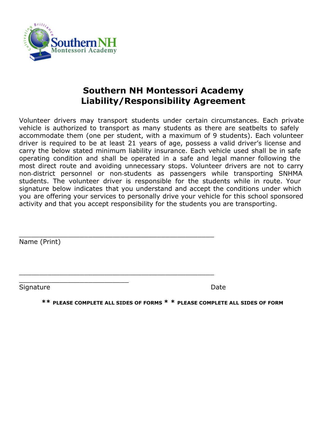

## **Southern NH Montessori Academy Liability/Responsibility Agreement**

Volunteer drivers may transport students under certain circumstances. Each private vehicle is authorized to transport as many students as there are seatbelts to safely accommodate them (one per student, with a maximum of 9 students). Each volunteer driver is required to be at least 21 years of age, possess a valid driver's license and carry the below stated minimum liability insurance. Each vehicle used shall be in safe operating condition and shall be operated in a safe and legal manner following the most direct route and avoiding unnecessary stops. Volunteer drivers are not to carry non-district personnel or non-students as passengers while transporting SNHMA students. The volunteer driver is responsible for the students while in route. Your signature below indicates that you understand and accept the conditions under which you are offering your services to personally drive your vehicle for this school sponsored activity and that you accept responsibility for the students you are transporting.

\_\_\_\_\_\_\_\_\_\_\_\_\_\_\_\_\_\_\_\_\_\_\_\_\_\_\_\_\_\_\_\_\_\_\_\_\_\_\_\_\_\_\_\_\_\_\_\_

\_\_\_\_\_\_\_\_\_\_\_\_\_\_\_\_\_\_\_\_\_\_\_\_\_\_\_\_\_\_\_\_\_\_\_\_\_\_\_\_\_\_\_\_\_\_\_\_

Name (Print)

Signature Date Date Date

\_\_\_\_\_\_\_\_\_\_\_\_\_\_\_\_\_\_\_\_\_\_\_\_\_\_\_

**\*\* PLEASE COMPLETE ALL SIDES OF FORMS \* \* PLEASE COMPLETE ALL SIDES OF FORM**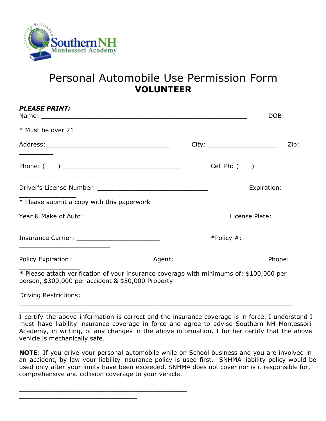

*PLEASE PRINT:*

## Personal Automobile Use Permission Form **VOLUNTEER**

| <i><b>PLEASE PRINT:</b></i>                                                                                                                   |                                  |                  | DOB:        |      |
|-----------------------------------------------------------------------------------------------------------------------------------------------|----------------------------------|------------------|-------------|------|
| * Must be over 21                                                                                                                             |                                  |                  |             |      |
|                                                                                                                                               |                                  |                  |             | Zip: |
| the control of the control of the control of the control of the control of                                                                    |                                  | Cell Ph: $($ $)$ |             |      |
|                                                                                                                                               |                                  |                  | Expiration: |      |
| * Please submit a copy with this paperwork                                                                                                    |                                  |                  |             |      |
| <u> 1989 - Johann John Stein, markin fan it ferstjer fan it ferstjer fan it ferstjer fan it ferstjer fan it ferst</u>                         |                                  | License Plate:   |             |      |
|                                                                                                                                               |                                  | *Policy #:       |             |      |
|                                                                                                                                               | Agent: _________________________ |                  | Phone:      |      |
| * Please attach verification of your insurance coverage with minimums of: \$100,000 per<br>person, \$300,000 per accident & \$50,000 Property |                                  |                  |             |      |
| <b>Driving Restrictions:</b>                                                                                                                  |                                  |                  |             |      |

\_\_\_\_\_\_\_\_\_\_\_\_\_\_\_\_\_\_\_\_ I certify the above information is correct and the insurance coverage is in force. I understand I must have liability insurance coverage in force and agree to advise Southern NH Montessori Academy, in writing, of any changes in the above information. I further certify that the above vehicle is mechanically safe.

\_\_\_\_\_\_\_\_\_\_\_\_\_\_\_\_\_\_\_\_\_\_\_\_\_\_\_\_\_\_\_\_\_\_\_\_\_\_\_\_\_\_\_\_\_\_\_\_\_\_\_\_\_\_\_\_\_\_\_\_\_\_\_\_\_\_\_\_\_\_\_\_

**NOTE**: If you drive your personal automobile while on School business and you are involved in an accident, by law your liability insurance policy is used first. SNHMA liability policy would be used only after your limits have been exceeded. SNHMA does not cover nor is it responsible for, comprehensive and collision coverage to your vehicle.

\_\_\_\_\_\_\_\_\_\_\_\_\_\_\_\_\_\_\_\_\_\_\_\_\_\_\_\_\_\_\_\_\_\_\_\_\_\_\_\_\_\_\_\_

\_\_\_\_\_\_\_\_\_\_\_\_\_\_\_\_\_\_\_\_\_\_\_\_\_\_\_\_\_\_\_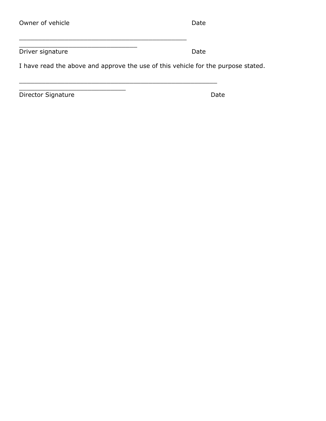| Date |
|------|
|      |

Driver signature Date

I have read the above and approve the use of this vehicle for the purpose stated.

\_\_\_\_\_\_\_\_\_\_\_\_\_\_\_\_\_\_\_\_\_\_\_\_\_\_\_\_\_\_\_\_\_\_\_\_\_\_\_\_\_\_\_\_

\_\_\_\_\_\_\_\_\_\_\_\_\_\_\_\_\_\_\_\_\_\_\_\_\_\_\_\_\_\_\_\_\_\_\_\_\_\_\_\_\_\_\_\_\_\_\_\_\_\_\_\_

\_\_\_\_\_\_\_\_\_\_\_\_\_\_\_\_\_\_\_\_\_\_\_\_\_\_\_\_\_\_\_

\_\_\_\_\_\_\_\_\_\_\_\_\_\_\_\_\_\_\_\_\_\_\_\_\_\_\_\_

Director Signature Date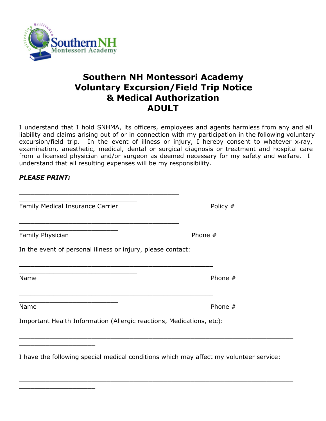

## **Southern NH Montessori Academy Voluntary Excursion/Field Trip Notice & Medical Authorization ADULT**

I understand that I hold SNHMA, its officers, employees and agents harmless from any and all liability and claims arising out of or in connection with my participation in the following voluntary excursion/field trip. In the event of illness or injury, I hereby consent to whatever x-ray, examination, anesthetic, medical, dental or surgical diagnosis or treatment and hospital care from a licensed physician and/or surgeon as deemed necessary for my safety and welfare. I understand that all resulting expenses will be my responsibility.

## *PLEASE PRINT:*

Family Medical Insurance Carrier **Policy #** Policy #

\_\_\_\_\_\_\_\_\_\_\_\_\_\_\_\_\_\_\_\_\_\_\_\_\_\_

\_\_\_\_\_\_\_\_\_\_\_\_\_\_\_\_\_\_\_\_\_\_\_\_\_\_

\_\_\_\_\_\_\_\_\_\_\_\_\_\_\_\_\_\_\_\_

\_\_\_\_\_\_\_\_\_\_\_\_\_\_\_\_\_\_\_\_

\_\_\_\_\_\_\_\_\_\_\_\_\_\_\_\_\_\_\_\_\_\_\_\_\_\_\_\_\_\_\_

\_\_\_\_\_\_\_\_\_\_\_\_\_\_\_\_\_\_\_\_\_\_\_\_\_\_\_\_\_\_\_

Family Physician **Phone #** 

In the event of personal illness or injury, please contact:

\_\_\_\_\_\_\_\_\_\_\_\_\_\_\_\_\_\_\_\_\_\_\_\_\_\_\_\_\_\_\_\_\_\_\_\_\_\_\_\_\_\_\_\_\_\_\_\_\_\_\_

\_\_\_\_\_\_\_\_\_\_\_\_\_\_\_\_\_\_\_\_\_\_\_\_\_\_\_\_\_\_\_\_\_\_\_\_\_\_\_\_\_\_\_\_\_\_\_\_\_\_\_

\_\_\_\_\_\_\_\_\_\_\_\_\_\_\_\_\_\_\_\_\_\_\_\_\_\_\_\_\_\_\_\_\_\_\_\_\_\_\_\_\_\_

\_\_\_\_\_\_\_\_\_\_\_\_\_\_\_\_\_\_\_\_\_\_\_\_\_\_\_\_\_\_\_\_\_\_\_\_\_\_\_\_\_\_

Name Phone  $\#$ 

Name Phone  $\#$ 

Important Health Information (Allergic reactions, Medications, etc):

I have the following special medical conditions which may affect my volunteer service:

\_\_\_\_\_\_\_\_\_\_\_\_\_\_\_\_\_\_\_\_\_\_\_\_\_\_\_\_\_\_\_\_\_\_\_\_\_\_\_\_\_\_\_\_\_\_\_\_\_\_\_\_\_\_\_\_\_\_\_\_\_\_\_\_\_\_\_\_\_\_\_\_

\_\_\_\_\_\_\_\_\_\_\_\_\_\_\_\_\_\_\_\_\_\_\_\_\_\_\_\_\_\_\_\_\_\_\_\_\_\_\_\_\_\_\_\_\_\_\_\_\_\_\_\_\_\_\_\_\_\_\_\_\_\_\_\_\_\_\_\_\_\_\_\_